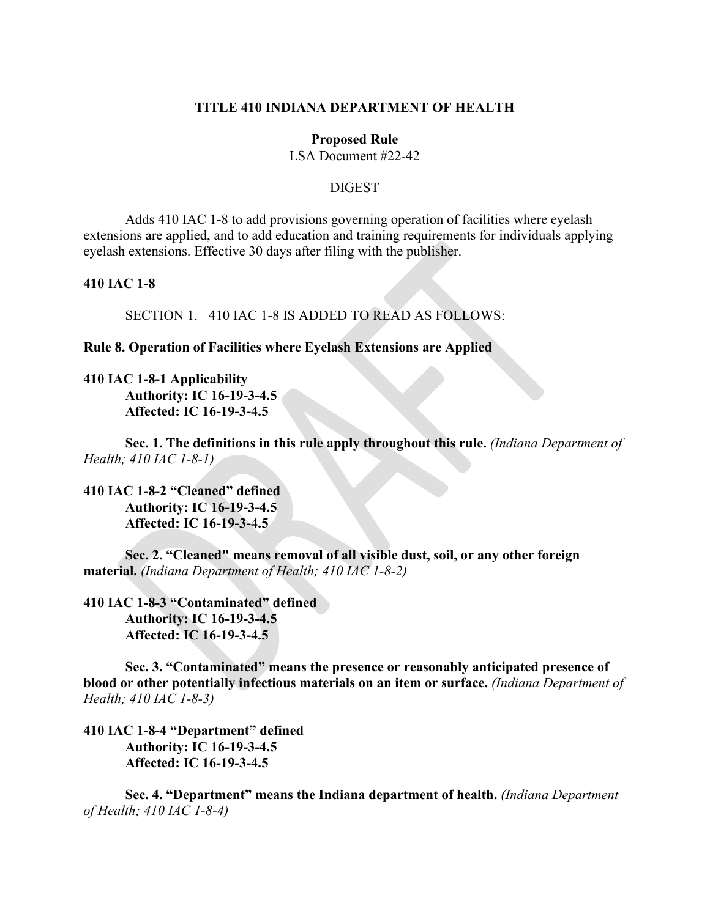## **TITLE 410 INDIANA DEPARTMENT OF HEALTH**

#### **Proposed Rule**

LSA Document #22-42

### **DIGEST**

Adds 410 IAC 1-8 to add provisions governing operation of facilities where eyelash extensions are applied, and to add education and training requirements for individuals applying eyelash extensions. Effective 30 days after filing with the publisher.

## **410 IAC 1-8**

SECTION 1. 410 IAC 1-8 IS ADDED TO READ AS FOLLOWS:

**Rule 8. Operation of Facilities where Eyelash Extensions are Applied**

**410 IAC 1-8-1 Applicability Authority: IC 16-19-3-4.5 Affected: IC 16-19-3-4.5**

**Sec. 1. The definitions in this rule apply throughout this rule.** *(Indiana Department of Health; 410 IAC 1-8-1)*

**410 IAC 1-8-2 "Cleaned" defined Authority: IC 16-19-3-4.5 Affected: IC 16-19-3-4.5**

**Sec. 2. "Cleaned" means removal of all visible dust, soil, or any other foreign material.** *(Indiana Department of Health; 410 IAC 1-8-2)*

**410 IAC 1-8-3 "Contaminated" defined Authority: IC 16-19-3-4.5 Affected: IC 16-19-3-4.5**

**Sec. 3. "Contaminated" means the presence or reasonably anticipated presence of blood or other potentially infectious materials on an item or surface.** *(Indiana Department of Health; 410 IAC 1-8-3)*

**410 IAC 1-8-4 "Department" defined Authority: IC 16-19-3-4.5 Affected: IC 16-19-3-4.5**

**Sec. 4. "Department" means the Indiana department of health.** *(Indiana Department of Health; 410 IAC 1-8-4)*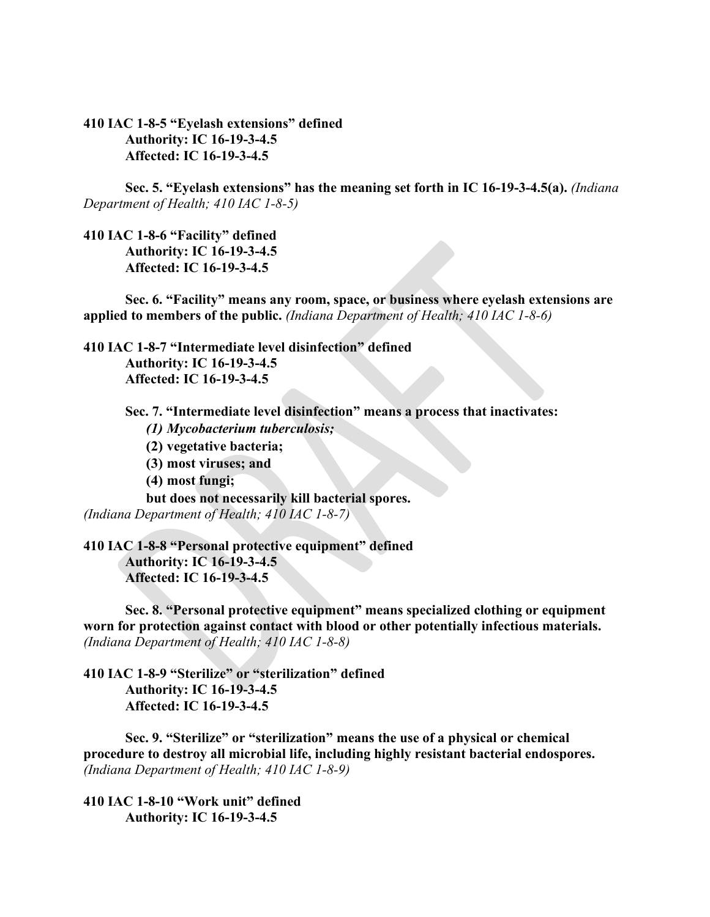**410 IAC 1-8-5 "Eyelash extensions" defined Authority: IC 16-19-3-4.5 Affected: IC 16-19-3-4.5**

**Sec. 5. "Eyelash extensions" has the meaning set forth in IC 16-19-3-4.5(a).** *(Indiana Department of Health; 410 IAC 1-8-5)*

**410 IAC 1-8-6 "Facility" defined Authority: IC 16-19-3-4.5 Affected: IC 16-19-3-4.5**

**Sec. 6. "Facility" means any room, space, or business where eyelash extensions are applied to members of the public.** *(Indiana Department of Health; 410 IAC 1-8-6)*

**410 IAC 1-8-7 "Intermediate level disinfection" defined**

**Authority: IC 16-19-3-4.5 Affected: IC 16-19-3-4.5**

**Sec. 7. "Intermediate level disinfection" means a process that inactivates:**

*(1) Mycobacterium tuberculosis;*

- **(2) vegetative bacteria;**
- **(3) most viruses; and**
- **(4) most fungi;**

**but does not necessarily kill bacterial spores.**  *(Indiana Department of Health; 410 IAC 1-8-7)*

**410 IAC 1-8-8 "Personal protective equipment" defined Authority: IC 16-19-3-4.5 Affected: IC 16-19-3-4.5**

**Sec. 8. "Personal protective equipment" means specialized clothing or equipment worn for protection against contact with blood or other potentially infectious materials.**  *(Indiana Department of Health; 410 IAC 1-8-8)*

**410 IAC 1-8-9 "Sterilize" or "sterilization" defined Authority: IC 16-19-3-4.5 Affected: IC 16-19-3-4.5**

**Sec. 9. "Sterilize" or "sterilization" means the use of a physical or chemical procedure to destroy all microbial life, including highly resistant bacterial endospores.**  *(Indiana Department of Health; 410 IAC 1-8-9)*

**410 IAC 1-8-10 "Work unit" defined Authority: IC 16-19-3-4.5**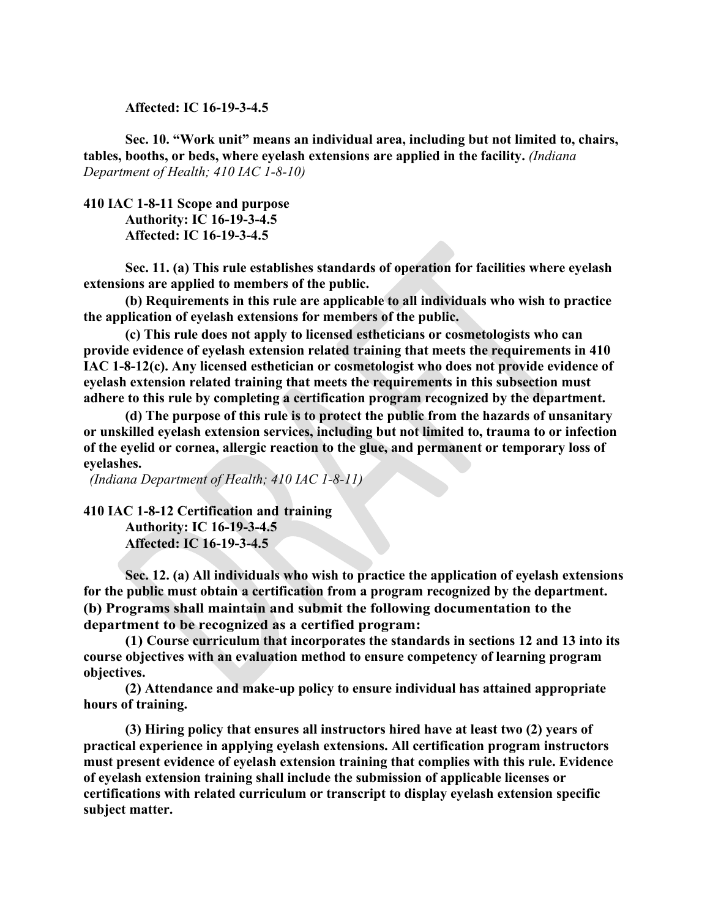**Affected: IC 16-19-3-4.5**

**Sec. 10. "Work unit" means an individual area, including but not limited to, chairs, tables, booths, or beds, where eyelash extensions are applied in the facility.** *(Indiana Department of Health; 410 IAC 1-8-10)*

**410 IAC 1-8-11 Scope and purpose Authority: IC 16-19-3-4.5 Affected: IC 16-19-3-4.5**

**Sec. 11. (a) This rule establishes standards of operation for facilities where eyelash extensions are applied to members of the public.** 

**(b) Requirements in this rule are applicable to all individuals who wish to practice the application of eyelash extensions for members of the public.**

**(c) This rule does not apply to licensed estheticians or cosmetologists who can provide evidence of eyelash extension related training that meets the requirements in 410 IAC 1-8-12(c). Any licensed esthetician or cosmetologist who does not provide evidence of eyelash extension related training that meets the requirements in this subsection must adhere to this rule by completing a certification program recognized by the department.**

**(d) The purpose of this rule is to protect the public from the hazards of unsanitary or unskilled eyelash extension services, including but not limited to, trauma to or infection of the eyelid or cornea, allergic reaction to the glue, and permanent or temporary loss of eyelashes.**

*(Indiana Department of Health; 410 IAC 1-8-11)*

**410 IAC 1-8-12 Certification and training Authority: IC 16-19-3-4.5 Affected: IC 16-19-3-4.5**

**Sec. 12. (a) All individuals who wish to practice the application of eyelash extensions for the public must obtain a certification from a program recognized by the department. (b) Programs shall maintain and submit the following documentation to the department to be recognized as a certified program:**

**(1) Course curriculum that incorporates the standards in sections 12 and 13 into its course objectives with an evaluation method to ensure competency of learning program objectives.**

**(2) Attendance and make-up policy to ensure individual has attained appropriate hours of training.**

**(3) Hiring policy that ensures all instructors hired have at least two (2) years of practical experience in applying eyelash extensions. All certification program instructors must present evidence of eyelash extension training that complies with this rule. Evidence of eyelash extension training shall include the submission of applicable licenses or certifications with related curriculum or transcript to display eyelash extension specific subject matter.**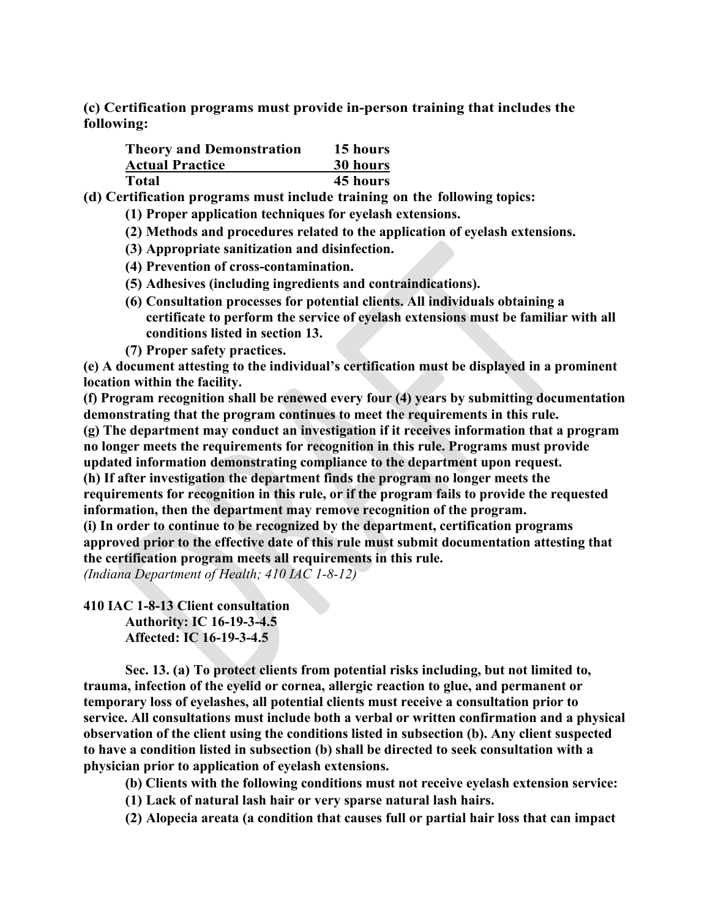**(c) Certification programs must provide in-person training that includes the following:**

| <b>Theory and Demonstration</b> | 15 hours |
|---------------------------------|----------|
| <b>Actual Practice</b>          | 30 hours |
| Total                           | 45 hours |

**(d) Certification programs must include training on the following topics:**

- **(1) Proper application techniques for eyelash extensions.**
- **(2) Methods and procedures related to the application of eyelash extensions.**
- **(3) Appropriate sanitization and disinfection.**
- **(4) Prevention of cross-contamination.**
- **(5) Adhesives (including ingredients and contraindications).**
- **(6) Consultation processes for potential clients. All individuals obtaining a certificate to perform the service of eyelash extensions must be familiar with all conditions listed in section 13.**
- **(7) Proper safety practices.**

**(e) A document attesting to the individual's certification must be displayed in a prominent location within the facility.**

**(f) Program recognition shall be renewed every four (4) years by submitting documentation demonstrating that the program continues to meet the requirements in this rule.**

**(g) The department may conduct an investigation if it receives information that a program no longer meets the requirements for recognition in this rule. Programs must provide updated information demonstrating compliance to the department upon request.**

**(h) If after investigation the department finds the program no longer meets the requirements for recognition in this rule, or if the program fails to provide the requested information, then the department may remove recognition of the program.** 

**(i) In order to continue to be recognized by the department, certification programs approved prior to the effective date of this rule must submit documentation attesting that the certification program meets all requirements in this rule.**

*(Indiana Department of Health; 410 IAC 1-8-12)*

**410 IAC 1-8-13 Client consultation**

**Authority: IC 16-19-3-4.5 Affected: IC 16-19-3-4.5**

**Sec. 13. (a) To protect clients from potential risks including, but not limited to, trauma, infection of the eyelid or cornea, allergic reaction to glue, and permanent or temporary loss of eyelashes, all potential clients must receive a consultation prior to service. All consultations must include both a verbal or written confirmation and a physical observation of the client using the conditions listed in subsection (b). Any client suspected to have a condition listed in subsection (b) shall be directed to seek consultation with a physician prior to application of eyelash extensions.**

**(b) Clients with the following conditions must not receive eyelash extension service:**

**(1) Lack of natural lash hair or very sparse natural lash hairs.**

**(2) Alopecia areata (a condition that causes full or partial hair loss that can impact**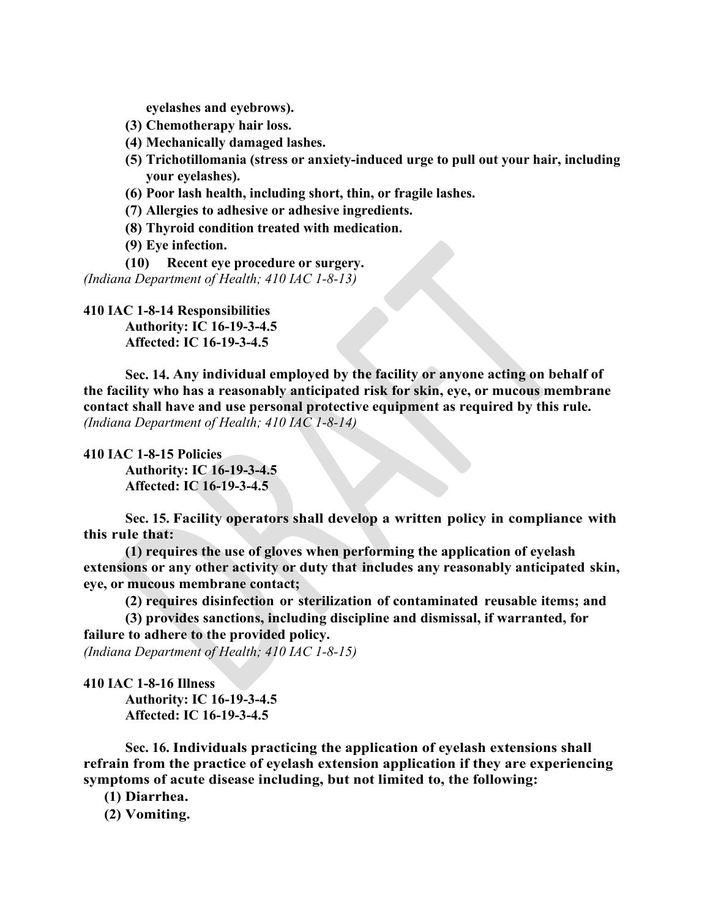**eyelashes and eyebrows).**

- **(3) Chemotherapy hair loss.**
- **(4) Mechanically damaged lashes.**
- **(5) Trichotillomania (stress or anxiety-induced urge to pull out your hair, including your eyelashes).**
- **(6) Poor lash health, including short, thin, or fragile lashes.**
- **(7) Allergies to adhesive or adhesive ingredients.**
- **(8) Thyroid condition treated with medication.**
- **(9) Eye infection.**
- **(10) Recent eye procedure or surgery.**

*(Indiana Department of Health; 410 IAC 1-8-13)*

**410 IAC 1-8-14 Responsibilities Authority: IC 16-19-3-4.5 Affected: IC 16-19-3-4.5**

**Sec. 14. Any individual employed by the facility or anyone acting on behalf of the facility who has a reasonably anticipated risk for skin, eye, or mucous membrane contact shall have and use personal protective equipment as required by this rule.** *(Indiana Department of Health; 410 IAC 1-8-14)*

**410 IAC 1-8-15 Policies**

**Authority: IC 16-19-3-4.5 Affected: IC 16-19-3-4.5**

**Sec. 15. Facility operators shall develop a written policy in compliance with this rule that:**

**(1) requires the use of gloves when performing the application of eyelash extensions or any other activity or duty that includes any reasonably anticipated skin, eye, or mucous membrane contact;**

**(2) requires disinfection or sterilization of contaminated reusable items; and**

**(3) provides sanctions, including discipline and dismissal, if warranted, for failure to adhere to the provided policy.** 

*(Indiana Department of Health; 410 IAC 1-8-15)*

**410 IAC 1-8-16 Illness**

**Authority: IC 16-19-3-4.5 Affected: IC 16-19-3-4.5**

**Sec. 16. Individuals practicing the application of eyelash extensions shall refrain from the practice of eyelash extension application if they are experiencing symptoms of acute disease including, but not limited to, the following:**

**(1) Diarrhea.**

**(2) Vomiting.**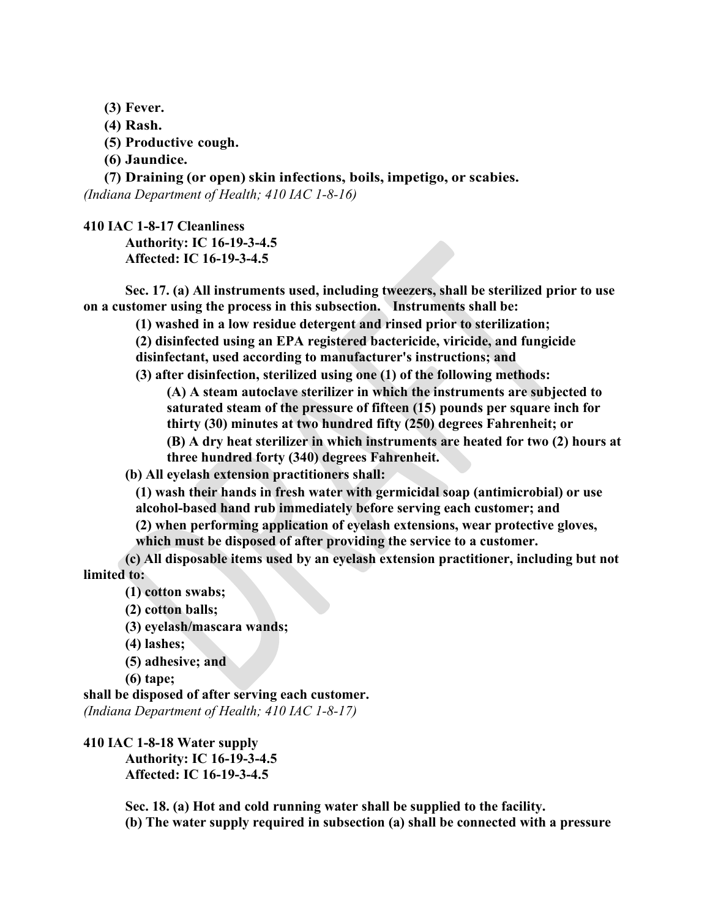- **(3) Fever.**
- **(4) Rash.**
- **(5) Productive cough.**
- **(6) Jaundice.**

**(7) Draining (or open) skin infections, boils, impetigo, or scabies.**

*(Indiana Department of Health; 410 IAC 1-8-16)*

**410 IAC 1-8-17 Cleanliness**

**Authority: IC 16-19-3-4.5 Affected: IC 16-19-3-4.5**

**Sec. 17. (a) All instruments used, including tweezers, shall be sterilized prior to use on a customer using the process in this subsection. Instruments shall be:**

**(1) washed in a low residue detergent and rinsed prior to sterilization;**

**(2) disinfected using an EPA registered bactericide, viricide, and fungicide** 

**disinfectant, used according to manufacturer's instructions; and**

**(3) after disinfection, sterilized using one (1) of the following methods:**

**(A) A steam autoclave sterilizer in which the instruments are subjected to saturated steam of the pressure of fifteen (15) pounds per square inch for thirty (30) minutes at two hundred fifty (250) degrees Fahrenheit; or**

**(B) A dry heat sterilizer in which instruments are heated for two (2) hours at three hundred forty (340) degrees Fahrenheit.**

**(b) All eyelash extension practitioners shall:**

**(1) wash their hands in fresh water with germicidal soap (antimicrobial) or use alcohol-based hand rub immediately before serving each customer; and**

**(2) when performing application of eyelash extensions, wear protective gloves, which must be disposed of after providing the service to a customer.**

**(c) All disposable items used by an eyelash extension practitioner, including but not limited to:**

**(1) cotton swabs;**

- **(2) cotton balls;**
- **(3) eyelash/mascara wands;**
- **(4) lashes;**
- **(5) adhesive; and**

```
(6) tape;
```
**shall be disposed of after serving each customer.** *(Indiana Department of Health; 410 IAC 1-8-17)*

**410 IAC 1-8-18 Water supply Authority: IC 16-19-3-4.5 Affected: IC 16-19-3-4.5**

> **Sec. 18. (a) Hot and cold running water shall be supplied to the facility. (b) The water supply required in subsection (a) shall be connected with a pressure**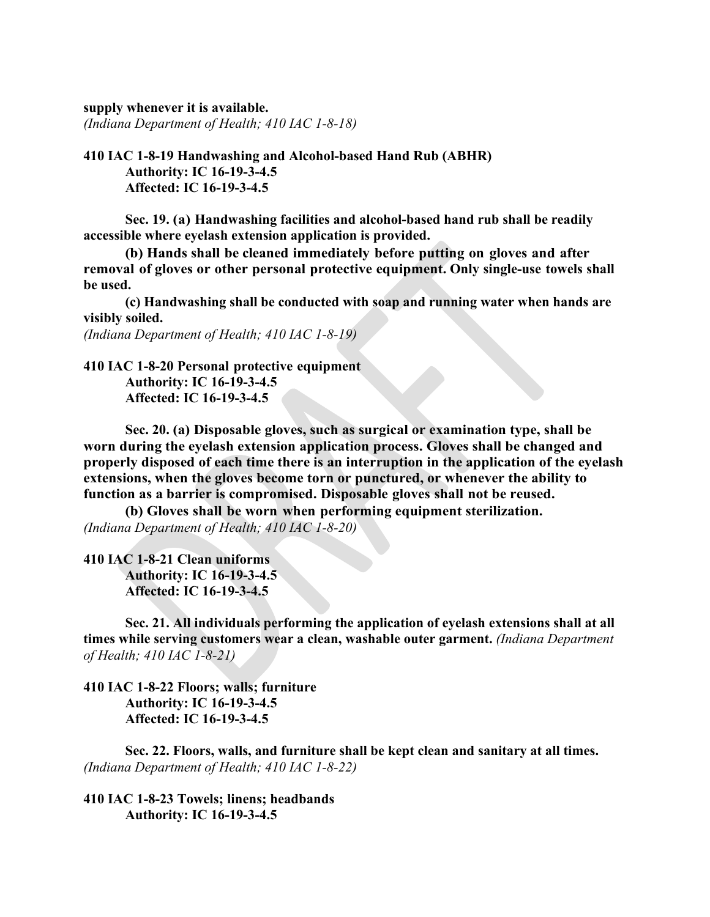**supply whenever it is available.**

*(Indiana Department of Health; 410 IAC 1-8-18)*

**410 IAC 1-8-19 Handwashing and Alcohol-based Hand Rub (ABHR) Authority: IC 16-19-3-4.5 Affected: IC 16-19-3-4.5**

**Sec. 19. (a) Handwashing facilities and alcohol-based hand rub shall be readily accessible where eyelash extension application is provided.**

**(b) Hands shall be cleaned immediately before putting on gloves and after removal of gloves or other personal protective equipment. Only single-use towels shall be used.**

**(c) Handwashing shall be conducted with soap and running water when hands are visibly soiled.**

*(Indiana Department of Health; 410 IAC 1-8-19)*

**410 IAC 1-8-20 Personal protective equipment Authority: IC 16-19-3-4.5 Affected: IC 16-19-3-4.5**

**Sec. 20. (a) Disposable gloves, such as surgical or examination type, shall be worn during the eyelash extension application process. Gloves shall be changed and properly disposed of each time there is an interruption in the application of the eyelash extensions, when the gloves become torn or punctured, or whenever the ability to function as a barrier is compromised. Disposable gloves shall not be reused.**

**(b) Gloves shall be worn when performing equipment sterilization.** *(Indiana Department of Health; 410 IAC 1-8-20)*

**410 IAC 1-8-21 Clean uniforms Authority: IC 16-19-3-4.5 Affected: IC 16-19-3-4.5**

**Sec. 21. All individuals performing the application of eyelash extensions shall at all times while serving customers wear a clean, washable outer garment.** *(Indiana Department of Health; 410 IAC 1-8-21)*

**410 IAC 1-8-22 Floors; walls; furniture Authority: IC 16-19-3-4.5 Affected: IC 16-19-3-4.5**

**Sec. 22. Floors, walls, and furniture shall be kept clean and sanitary at all times.**  *(Indiana Department of Health; 410 IAC 1-8-22)*

**410 IAC 1-8-23 Towels; linens; headbands Authority: IC 16-19-3-4.5**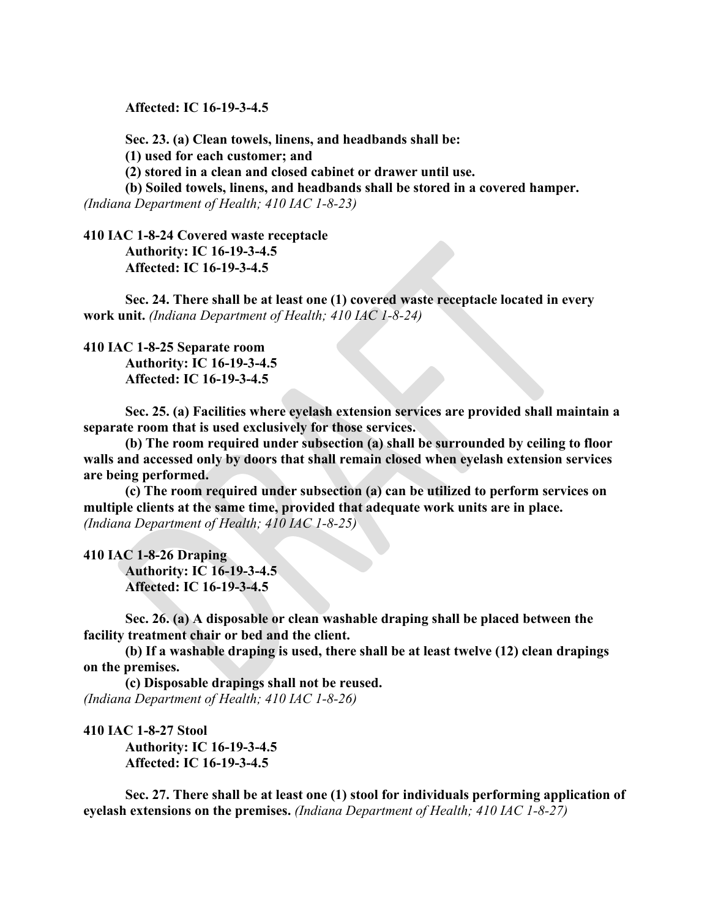**Affected: IC 16-19-3-4.5**

**Sec. 23. (a) Clean towels, linens, and headbands shall be: (1) used for each customer; and (2) stored in a clean and closed cabinet or drawer until use.**

**(b) Soiled towels, linens, and headbands shall be stored in a covered hamper.** *(Indiana Department of Health; 410 IAC 1-8-23)*

**410 IAC 1-8-24 Covered waste receptacle Authority: IC 16-19-3-4.5 Affected: IC 16-19-3-4.5**

**Sec. 24. There shall be at least one (1) covered waste receptacle located in every work unit.** *(Indiana Department of Health; 410 IAC 1-8-24)*

# **410 IAC 1-8-25 Separate room Authority: IC 16-19-3-4.5**

**Affected: IC 16-19-3-4.5**

**Sec. 25. (a) Facilities where eyelash extension services are provided shall maintain a separate room that is used exclusively for those services.**

**(b) The room required under subsection (a) shall be surrounded by ceiling to floor walls and accessed only by doors that shall remain closed when eyelash extension services are being performed.**

**(c) The room required under subsection (a) can be utilized to perform services on multiple clients at the same time, provided that adequate work units are in place.** *(Indiana Department of Health; 410 IAC 1-8-25)*

#### **410 IAC 1-8-26 Draping**

**Authority: IC 16-19-3-4.5 Affected: IC 16-19-3-4.5**

**Sec. 26. (a) A disposable or clean washable draping shall be placed between the facility treatment chair or bed and the client.**

**(b) If a washable draping is used, there shall be at least twelve (12) clean drapings on the premises.**

**(c) Disposable drapings shall not be reused.**  *(Indiana Department of Health; 410 IAC 1-8-26)*

**410 IAC 1-8-27 Stool Authority: IC 16-19-3-4.5 Affected: IC 16-19-3-4.5**

**Sec. 27. There shall be at least one (1) stool for individuals performing application of eyelash extensions on the premises.** *(Indiana Department of Health; 410 IAC 1-8-27)*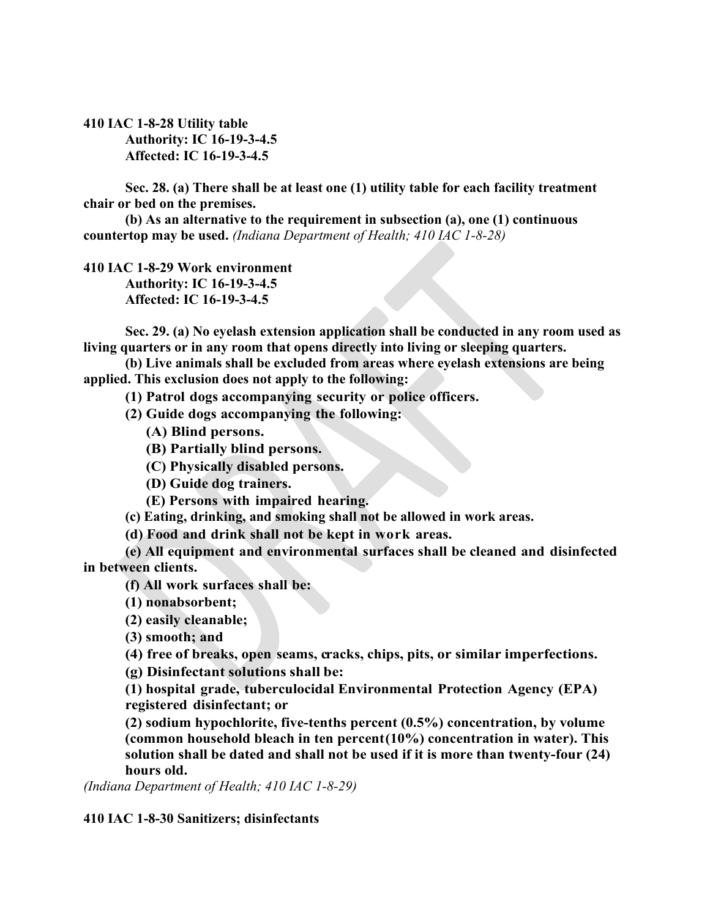## **410 IAC 1-8-28 Utility table Authority: IC 16-19-3-4.5 Affected: IC 16-19-3-4.5**

**Sec. 28. (a) There shall be at least one (1) utility table for each facility treatment chair or bed on the premises.**

**(b) As an alternative to the requirement in subsection (a), one (1) continuous countertop may be used.** *(Indiana Department of Health; 410 IAC 1-8-28)*

**410 IAC 1-8-29 Work environment Authority: IC 16-19-3-4.5 Affected: IC 16-19-3-4.5**

**Sec. 29. (a) No eyelash extension application shall be conducted in any room used as living quarters or in any room that opens directly into living or sleeping quarters.** 

**(b) Live animals shall be excluded from areas where eyelash extensions are being applied. This exclusion does not apply to the following:**

**(1) Patrol dogs accompanying security or police officers.**

**(2) Guide dogs accompanying the following:**

**(A) Blind persons.**

**(B) Partially blind persons.**

**(C) Physically disabled persons.**

**(D) Guide dog trainers.**

**(E) Persons with impaired hearing.**

**(c) Eating, drinking, and smoking shall not be allowed in work areas.** 

**(d) Food and drink shall not be kept in work areas.**

**(e) All equipment and environmental surfaces shall be cleaned and disinfected in between clients.**

**(f) All work surfaces shall be:**

**(1) nonabsorbent;** 

**(2) easily cleanable;**

**(3) smooth; and**

**(4) free of breaks, open seams, c racks, chips, pits, or similar imperfections.**

**(g) Disinfectant solutions shall be:** 

**(1) hospital grade, tuberculocidal Environmental Protection Agency (EPA) registered disinfectant; or**

**(2) sodium hypochlorite, five-tenths percent (0.5%) concentration, by volume (common household bleach in ten percent(10%) concentration in water). This solution shall be dated and shall not be used if it is more than twenty-four (24) hours old.**

*(Indiana Department of Health; 410 IAC 1-8-29)*

**410 IAC 1-8-30 Sanitizers; disinfectants**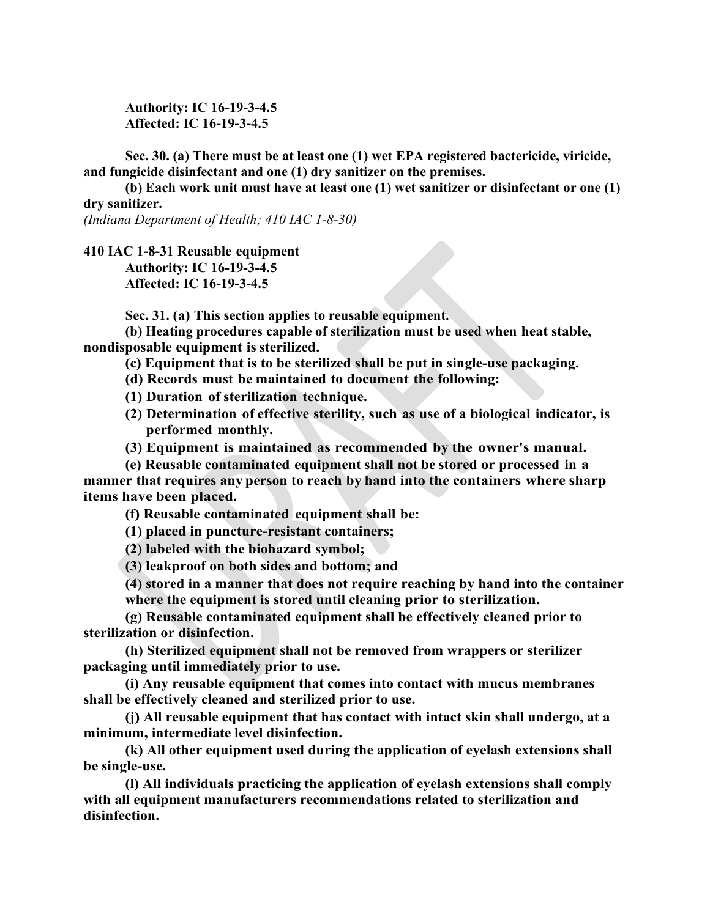**Authority: IC 16-19-3-4.5 Affected: IC 16-19-3-4.5**

**Sec. 30. (a) There must be at least one (1) wet EPA registered bactericide, viricide, and fungicide disinfectant and one (1) dry sanitizer on the premises.**

**(b) Each work unit must have at least one (1) wet sanitizer or disinfectant or one (1) dry sanitizer.**

*(Indiana Department of Health; 410 IAC 1-8-30)*

**410 IAC 1-8-31 Reusable equipment Authority: IC 16-19-3-4.5 Affected: IC 16-19-3-4.5**

**Sec. 31. (a) This section applies to reusable equipment.**

**(b) Heating procedures capable of sterilization must be used when heat stable, nondisposable equipment is sterilized.**

**(c) Equipment that is to be sterilized shall be put in single-use packaging.** 

**(d) Records must be maintained to document the following:**

**(1) Duration of sterilization technique.**

**(2) Determination of effective sterility, such as use of a biological indicator, is performed monthly.**

**(3) Equipment is maintained as recommended by the owner's manual.**

**(e) Reusable contaminated equipment shall not be stored or processed in a manner that requires any person to reach by hand into the containers where sharp items have been placed.**

**(f) Reusable contaminated equipment shall be:**

**(1) placed in puncture-resistant containers;**

**(2) labeled with the biohazard symbol;**

**(3) leakproof on both sides and bottom; and**

**(4) stored in a manner that does not require reaching by hand into the container where the equipment is stored until cleaning prior to sterilization.**

**(g) Reusable contaminated equipment shall be effectively cleaned prior to sterilization or disinfection.**

**(h) Sterilized equipment shall not be removed from wrappers or sterilizer packaging until immediately prior to use.** 

**(i) Any reusable equipment that comes into contact with mucus membranes shall be effectively cleaned and sterilized prior to use.** 

**(j) All reusable equipment that has contact with intact skin shall undergo, at a minimum, intermediate level disinfection.** 

**(k) All other equipment used during the application of eyelash extensions shall be single-use.**

**(l) All individuals practicing the application of eyelash extensions shall comply with all equipment manufacturers recommendations related to sterilization and disinfection.**